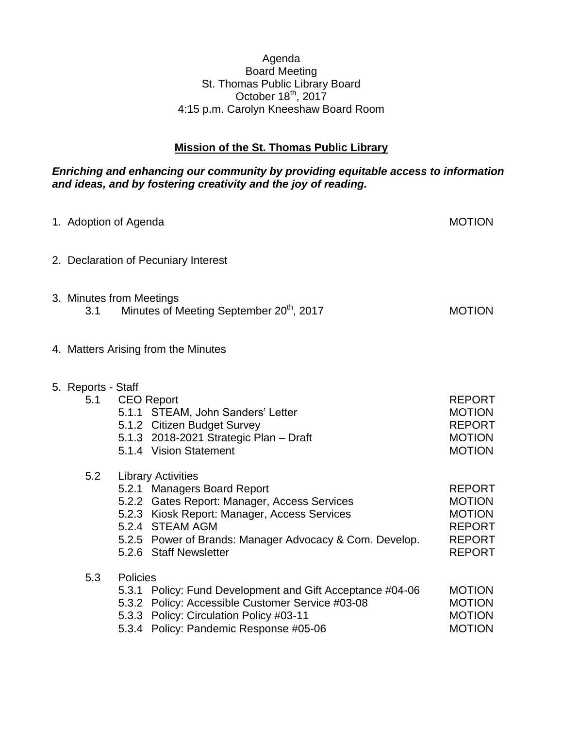## Agenda Board Meeting St. Thomas Public Library Board October  $18^{th}$ , 2017 4:15 p.m. Carolyn Kneeshaw Board Room

## **Mission of the St. Thomas Public Library**

## *Enriching and enhancing our community by providing equitable access to information and ideas, and by fostering creativity and the joy of reading.*

|                           | 1. Adoption of Agenda                                                                                                                                                                                                                                            | <b>MOTION</b>                                                                                      |
|---------------------------|------------------------------------------------------------------------------------------------------------------------------------------------------------------------------------------------------------------------------------------------------------------|----------------------------------------------------------------------------------------------------|
|                           | 2. Declaration of Pecuniary Interest                                                                                                                                                                                                                             |                                                                                                    |
| 3.1                       | 3. Minutes from Meetings<br>Minutes of Meeting September 20 <sup>th</sup> , 2017                                                                                                                                                                                 | <b>MOTION</b>                                                                                      |
|                           | 4. Matters Arising from the Minutes                                                                                                                                                                                                                              |                                                                                                    |
| 5. Reports - Staff<br>5.1 | <b>CEO Report</b><br>5.1.1 STEAM, John Sanders' Letter<br>5.1.2 Citizen Budget Survey<br>5.1.3 2018-2021 Strategic Plan - Draft<br>5.1.4 Vision Statement                                                                                                        | <b>REPORT</b><br><b>MOTION</b><br><b>REPORT</b><br><b>MOTION</b><br><b>MOTION</b>                  |
| 5.2                       | <b>Library Activities</b><br>5.2.1 Managers Board Report<br>5.2.2 Gates Report: Manager, Access Services<br>5.2.3 Kiosk Report: Manager, Access Services<br>5.2.4 STEAM AGM<br>5.2.5 Power of Brands: Manager Advocacy & Com. Develop.<br>5.2.6 Staff Newsletter | <b>REPORT</b><br><b>MOTION</b><br><b>MOTION</b><br><b>REPORT</b><br><b>REPORT</b><br><b>REPORT</b> |
| 5.3                       | Policies<br>5.3.1 Policy: Fund Development and Gift Acceptance #04-06<br>5.3.2 Policy: Accessible Customer Service #03-08<br>5.3.3 Policy: Circulation Policy #03-11<br>5.3.4 Policy: Pandemic Response #05-06                                                   | <b>MOTION</b><br><b>MOTION</b><br><b>MOTION</b><br><b>MOTION</b>                                   |